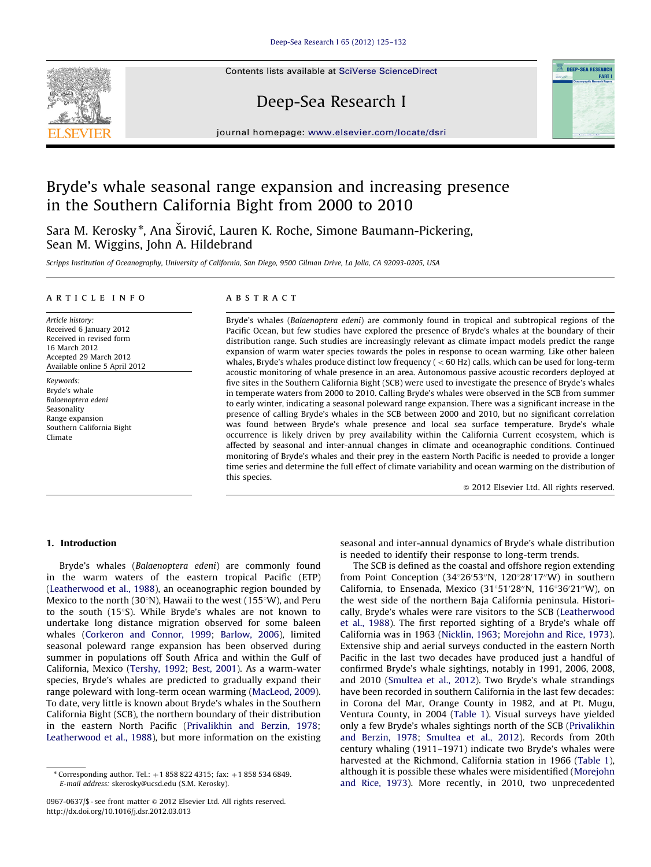Contents lists available at [SciVerse ScienceDirect](www.elsevier.com/locate/dsri)



# Deep-Sea Research I



journal homepage: <www.elsevier.com/locate/dsri>

# Bryde's whale seasonal range expansion and increasing presence in the Southern California Bight from 2000 to 2010

Sara M. Kerosky \*, Ana Širović, Lauren K. Roche, Simone Baumann-Pickering, Sean M. Wiggins, John A. Hildebrand

Scripps Institution of Oceanography, University of California, San Diego, 9500 Gilman Drive, La Jolla, CA 92093-0205, USA

# article info

Article history: Received 6 January 2012 Received in revised form 16 March 2012 Accepted 29 March 2012 Available online 5 April 2012

Keywords: Bryde's whale Balaenoptera edeni Seasonality Range expansion Southern California Bight Climate

#### abstract

Bryde's whales (Balaenoptera edeni) are commonly found in tropical and subtropical regions of the Pacific Ocean, but few studies have explored the presence of Bryde's whales at the boundary of their distribution range. Such studies are increasingly relevant as climate impact models predict the range expansion of warm water species towards the poles in response to ocean warming. Like other baleen whales, Bryde's whales produce distinct low frequency ( $<$  60 Hz) calls, which can be used for long-term acoustic monitoring of whale presence in an area. Autonomous passive acoustic recorders deployed at five sites in the Southern California Bight (SCB) were used to investigate the presence of Bryde's whales in temperate waters from 2000 to 2010. Calling Bryde's whales were observed in the SCB from summer to early winter, indicating a seasonal poleward range expansion. There was a significant increase in the presence of calling Bryde's whales in the SCB between 2000 and 2010, but no significant correlation was found between Bryde's whale presence and local sea surface temperature. Bryde's whale occurrence is likely driven by prey availability within the California Current ecosystem, which is affected by seasonal and inter-annual changes in climate and oceanographic conditions. Continued monitoring of Bryde's whales and their prey in the eastern North Pacific is needed to provide a longer time series and determine the full effect of climate variability and ocean warming on the distribution of this species.

 $\odot$  2012 Elsevier Ltd. All rights reserved.

# 1. Introduction

Bryde's whales (Balaenoptera edeni) are commonly found in the warm waters of the eastern tropical Pacific (ETP) ([Leatherwood et al., 1988\)](#page-6-0), an oceanographic region bounded by Mexico to the north (30°N), Hawaii to the west (155°W), and Peru to the south  $(15°S)$ . While Bryde's whales are not known to undertake long distance migration observed for some baleen whales [\(Corkeron and Connor, 1999](#page-6-0); [Barlow, 2006](#page-6-0)), limited seasonal poleward range expansion has been observed during summer in populations off South Africa and within the Gulf of California, Mexico [\(Tershy, 1992;](#page-7-0) [Best, 2001\)](#page-6-0). As a warm-water species, Bryde's whales are predicted to gradually expand their range poleward with long-term ocean warming ([MacLeod, 2009\)](#page-6-0). To date, very little is known about Bryde's whales in the Southern California Bight (SCB), the northern boundary of their distribution in the eastern North Pacific [\(Privalikhin and Berzin, 1978;](#page-6-0) [Leatherwood et al., 1988](#page-6-0)), but more information on the existing seasonal and inter-annual dynamics of Bryde's whale distribution is needed to identify their response to long-term trends.

The SCB is defined as the coastal and offshore region extending from Point Conception (34°26'53"N, 120°28'17"W) in southern California, to Ensenada, Mexico (31°51'28"N, 116°36'21"W), on the west side of the northern Baja California peninsula. Historically, Bryde's whales were rare visitors to the SCB ([Leatherwood](#page-6-0) [et al., 1988\)](#page-6-0). The first reported sighting of a Bryde's whale off California was in 1963 [\(Nicklin, 1963](#page-6-0); [Morejohn and Rice, 1973\)](#page-6-0). Extensive ship and aerial surveys conducted in the eastern North Pacific in the last two decades have produced just a handful of confirmed Bryde's whale sightings, notably in 1991, 2006, 2008, and 2010 [\(Smultea et al., 2012](#page-7-0)). Two Bryde's whale strandings have been recorded in southern California in the last few decades: in Corona del Mar, Orange County in 1982, and at Pt. Mugu, Ventura County, in 2004 [\(Table 1](#page-1-0)). Visual surveys have yielded only a few Bryde's whales sightings north of the SCB [\(Privalikhin](#page-6-0) [and Berzin, 1978](#page-6-0); [Smultea et al., 2012](#page-7-0)). Records from 20th century whaling (1911–1971) indicate two Bryde's whales were harvested at the Richmond, California station in 1966 ([Table 1\)](#page-1-0), although it is possible these whales were misidentified [\(Morejohn](#page-6-0) [and Rice, 1973](#page-6-0)). More recently, in 2010, two unprecedented

<sup>\*</sup> Corresponding author. Tel.:  $+1$  858 822 4315; fax:  $+1$  858 534 6849. E-mail address: [skerosky@ucsd.edu \(S.M. Kerosky\)](mailto:skerosky@ucsd.edu).

<sup>0967-0637/\$ -</sup> see front matter @ 2012 Elsevier Ltd. All rights reserved. [http://dx.doi.org/10.1016/j.dsr.2012.03.013](dx.doi.org/10.1016/j.dsr.2012.03.013)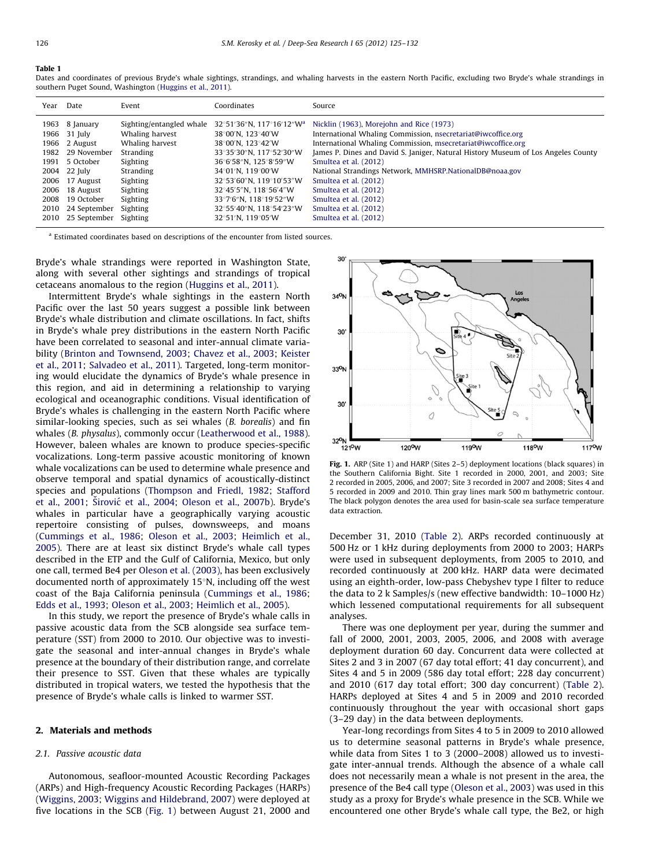#### <span id="page-1-0"></span>Table 1

Dates and coordinates of previous Bryde's whale sightings, strandings, and whaling harvests in the eastern North Pacific, excluding two Bryde's whale strandings in southern Puget Sound, Washington [\(Huggins et al., 2011](#page-6-0)).

| Year | Date              | Event                    | Coordinates                                                 | Source                                                                            |
|------|-------------------|--------------------------|-------------------------------------------------------------|-----------------------------------------------------------------------------------|
|      | 1963 8 January    | Sighting/entangled whale | $32^{\circ}51'36''$ N. 117 $^{\circ}16'12''$ W <sup>a</sup> | Nicklin (1963), Morejohn and Rice (1973)                                          |
|      | 1966 31 July      | Whaling harvest          | 38°00′N. 123°40′W                                           | International Whaling Commission, nsecretariat@iwcoffice.org                      |
|      | 1966 2 August     | Whaling harvest          | 38°00′N. 123°42′W                                           | International Whaling Commission, msecretariat@iwcoffice.org                      |
|      | 1982 29 November  | Stranding                | 33°35′30″N, 117°52′30″W                                     | James P. Dines and David S. Janiger, Natural History Museum of Los Angeles County |
|      | 1991 5 October    | Sighting                 | 36°6′58″N. 125°8′59″W                                       | Smultea et al. (2012)                                                             |
|      | 2004 22 July      | Stranding                | $34^{\circ}01^{\prime}$ N. 119 $^{\circ}00^{\prime}$ W      | National Strandings Network, MMHSRP, National DB@noaa.gov                         |
|      | 2006 17 August    | Sighting                 | 32°53′60″N, 119°10′53″W                                     | Smultea et al. (2012)                                                             |
| 2006 | 18 August         | Sighting                 | 32°45′5″N. 118°56′4″W                                       | Smultea et al. (2012)                                                             |
| 2008 | 19 October        | Sighting                 | 33°7′6″N. 118°19′52″W                                       | Smultea et al. (2012)                                                             |
|      | 2010 24 September | Sighting                 | 32°55'40"N. 118°54'23"W                                     | Smultea et al. (2012)                                                             |
|      | 2010 25 September | Sighting                 | $32^{\circ}51'$ N. 119 $^{\circ}05'$ W                      | Smultea et al. (2012)                                                             |

<sup>a</sup> Estimated coordinates based on descriptions of the encounter from listed sources.

Bryde's whale strandings were reported in Washington State, along with several other sightings and strandings of tropical cetaceans anomalous to the region [\(Huggins et al., 2011](#page-6-0)).

Intermittent Bryde's whale sightings in the eastern North Pacific over the last 50 years suggest a possible link between Bryde's whale distribution and climate oscillations. In fact, shifts in Bryde's whale prey distributions in the eastern North Pacific have been correlated to seasonal and inter-annual climate variability ([Brinton and Townsend, 2003](#page-6-0); [Chavez et al., 2003](#page-6-0); [Keister](#page-6-0) [et al., 2011;](#page-6-0) [Salvadeo et al., 2011\)](#page-7-0). Targeted, long-term monitoring would elucidate the dynamics of Bryde's whale presence in this region, and aid in determining a relationship to varying ecological and oceanographic conditions. Visual identification of Bryde's whales is challenging in the eastern North Pacific where similar-looking species, such as sei whales (B. borealis) and fin whales (B. physalus), commonly occur ([Leatherwood et al., 1988\)](#page-6-0). However, baleen whales are known to produce species-specific vocalizations. Long-term passive acoustic monitoring of known whale vocalizations can be used to determine whale presence and observe temporal and spatial dynamics of acoustically-distinct species and populations ([Thompson and Friedl, 1982](#page-7-0); [Stafford](#page-7-0) [et al., 2001;](#page-7-0) Širović [et al., 2004;](#page-7-0) [Oleson et al., 2007b](#page-6-0)). Bryde's whales in particular have a geographically varying acoustic repertoire consisting of pulses, downsweeps, and moans ([Cummings et al., 1986;](#page-6-0) [Oleson et al., 2003;](#page-6-0) [Heimlich et al.,](#page-6-0) [2005\)](#page-6-0). There are at least six distinct Bryde's whale call types described in the ETP and the Gulf of California, Mexico, but only one call, termed Be4 per [Oleson et al. \(2003\)](#page-6-0), has been exclusively documented north of approximately  $15°N$ , including off the west coast of the Baja California peninsula [\(Cummings et al., 1986;](#page-6-0) [Edds et al., 1993;](#page-6-0) [Oleson et al., 2003](#page-6-0); [Heimlich et al., 2005](#page-6-0)).

In this study, we report the presence of Bryde's whale calls in passive acoustic data from the SCB alongside sea surface temperature (SST) from 2000 to 2010. Our objective was to investigate the seasonal and inter-annual changes in Bryde's whale presence at the boundary of their distribution range, and correlate their presence to SST. Given that these whales are typically distributed in tropical waters, we tested the hypothesis that the presence of Bryde's whale calls is linked to warmer SST.

# 2. Materials and methods

#### 2.1. Passive acoustic data

Autonomous, seafloor-mounted Acoustic Recording Packages (ARPs) and High-frequency Acoustic Recording Packages (HARPs) ([Wiggins, 2003](#page-7-0); [Wiggins and Hildebrand, 2007](#page-7-0)) were deployed at five locations in the SCB (Fig. 1) between August 21, 2000 and



Fig. 1. ARP (Site 1) and HARP (Sites 2–5) deployment locations (black squares) in the Southern California Bight. Site 1 recorded in 2000, 2001, and 2003; Site 2 recorded in 2005, 2006, and 2007; Site 3 recorded in 2007 and 2008; Sites 4 and 5 recorded in 2009 and 2010. Thin gray lines mark 500 m bathymetric contour. The black polygon denotes the area used for basin-scale sea surface temperature data extraction.

December 31, 2010 ([Table 2\)](#page-2-0). ARPs recorded continuously at 500 Hz or 1 kHz during deployments from 2000 to 2003; HARPs were used in subsequent deployments, from 2005 to 2010, and recorded continuously at 200 kHz. HARP data were decimated using an eighth-order, low-pass Chebyshev type I filter to reduce the data to 2 k Samples/s (new effective bandwidth: 10–1000 Hz) which lessened computational requirements for all subsequent analyses.

There was one deployment per year, during the summer and fall of 2000, 2001, 2003, 2005, 2006, and 2008 with average deployment duration 60 day. Concurrent data were collected at Sites 2 and 3 in 2007 (67 day total effort; 41 day concurrent), and Sites 4 and 5 in 2009 (586 day total effort; 228 day concurrent) and 2010 (617 day total effort; 300 day concurrent) [\(Table 2\)](#page-2-0). HARPs deployed at Sites 4 and 5 in 2009 and 2010 recorded continuously throughout the year with occasional short gaps (3–29 day) in the data between deployments.

Year-long recordings from Sites 4 to 5 in 2009 to 2010 allowed us to determine seasonal patterns in Bryde's whale presence, while data from Sites 1 to 3 (2000–2008) allowed us to investigate inter-annual trends. Although the absence of a whale call does not necessarily mean a whale is not present in the area, the presence of the Be4 call type [\(Oleson et al., 2003](#page-6-0)) was used in this study as a proxy for Bryde's whale presence in the SCB. While we encountered one other Bryde's whale call type, the Be2, or high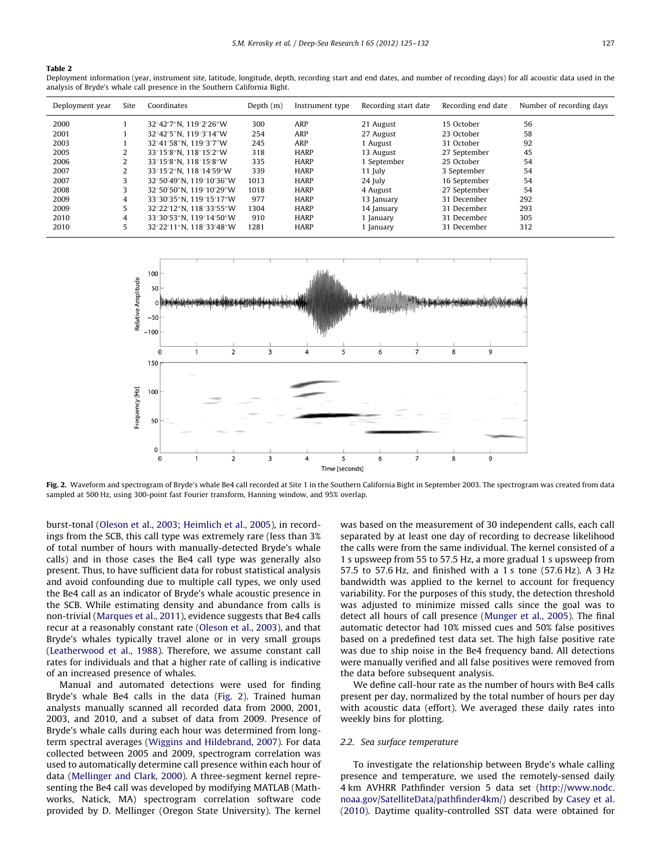# <span id="page-2-0"></span>Table 2

Deployment information (year, instrument site, latitude, longitude, depth, recording start and end dates, and number of recording days) for all acoustic data used in the analysis of Bryde's whale call presence in the Southern California Bight.

| Deployment year | Site | Coordinates             | Depth $(m)$ | Instrument type | Recording start date | Recording end date | Number of recording days |
|-----------------|------|-------------------------|-------------|-----------------|----------------------|--------------------|--------------------------|
| 2000            |      | 32°42′7″N. 119°2′26″W   | 300         | ARP             | 21 August            | 15 October         | 56                       |
| 2001            |      | 32°42′5″N. 119°3′14″W   | 254         | ARP             | 27 August            | 23 October         | 58                       |
| 2003            |      | 32°41′58″N. 119°3′7″W   | 245         | ARP             | 1 August             | 31 October         | 92                       |
| 2005            | 2    | 33°15′8″N. 118°15′2″W   | 318         | <b>HARP</b>     | 13 August            | 27 September       | 45                       |
| 2006            | 2    | 33°15′8″N. 118°15′8″W   | 335         | <b>HARP</b>     | 1 September          | 25 October         | 54                       |
| 2007            | 2    | 33°15′2″N. 118°14′59″W  | 339         | <b>HARP</b>     | $11$ July            | 3 September        | 54                       |
| 2007            | 3    | 32°50'49"N. 119°10'36"W | 1013        | <b>HARP</b>     | 24 July              | 16 September       | 54                       |
| 2008            | 3    | 32°50′50″N. 119°10′29″W | 1018        | <b>HARP</b>     | 4 August             | 27 September       | 54                       |
| 2009            | 4    | 33°30′35″N. 119°15′17″W | 977         | <b>HARP</b>     | 13 January           | 31 December        | 292                      |
| 2009            | 5    | 32°22′12″N, 118°33′55″W | 1304        | <b>HARP</b>     | 14 January           | 31 December        | 293                      |
| 2010            | 4    | 33°30′53″N, 119°14′50″W | 910         | <b>HARP</b>     | January              | 31 December        | 305                      |
| 2010            | 5    | 32°22′11″N. 118°33′48″W | 1281        | <b>HARP</b>     | January              | 31 December        | 312                      |



Fig. 2. Waveform and spectrogram of Bryde's whale Be4 call recorded at Site 1 in the Southern California Bight in September 2003. The spectrogram was created from data sampled at 500 Hz, using 300-point fast Fourier transform, Hanning window, and 95% overlap.

burst-tonal [\(Oleson et al., 2003;](#page-6-0) [Heimlich et al., 2005\)](#page-6-0), in recordings from the SCB, this call type was extremely rare (less than 3% of total number of hours with manually-detected Bryde's whale calls) and in those cases the Be4 call type was generally also present. Thus, to have sufficient data for robust statistical analysis and avoid confounding due to multiple call types, we only used the Be4 call as an indicator of Bryde's whale acoustic presence in the SCB. While estimating density and abundance from calls is non-trivial [\(Marques et al., 2011](#page-6-0)), evidence suggests that Be4 calls recur at a reasonably constant rate [\(Oleson et al., 2003\)](#page-6-0), and that Bryde's whales typically travel alone or in very small groups ([Leatherwood et al., 1988](#page-6-0)). Therefore, we assume constant call rates for individuals and that a higher rate of calling is indicative of an increased presence of whales.

Manual and automated detections were used for finding Bryde's whale Be4 calls in the data (Fig. 2). Trained human analysts manually scanned all recorded data from 2000, 2001, 2003, and 2010, and a subset of data from 2009. Presence of Bryde's whale calls during each hour was determined from longterm spectral averages [\(Wiggins and Hildebrand, 2007\)](#page-7-0). For data collected between 2005 and 2009, spectrogram correlation was used to automatically determine call presence within each hour of data [\(Mellinger and Clark, 2000\)](#page-6-0). A three-segment kernel representing the Be4 call was developed by modifying MATLAB (Mathworks, Natick, MA) spectrogram correlation software code provided by D. Mellinger (Oregon State University). The kernel was based on the measurement of 30 independent calls, each call separated by at least one day of recording to decrease likelihood the calls were from the same individual. The kernel consisted of a 1 s upsweep from 55 to 57.5 Hz, a more gradual 1 s upsweep from 57.5 to 57.6 Hz, and finished with a 1 s tone (57.6 Hz). A 3 Hz bandwidth was applied to the kernel to account for frequency variability. For the purposes of this study, the detection threshold was adjusted to minimize missed calls since the goal was to detect all hours of call presence [\(Munger et al., 2005](#page-6-0)). The final automatic detector had 10% missed cues and 50% false positives based on a predefined test data set. The high false positive rate was due to ship noise in the Be4 frequency band. All detections were manually verified and all false positives were removed from the data before subsequent analysis.

We define call-hour rate as the number of hours with Be4 calls present per day, normalized by the total number of hours per day with acoustic data (effort). We averaged these daily rates into weekly bins for plotting.

### 2.2. Sea surface temperature

To investigate the relationship between Bryde's whale calling presence and temperature, we used the remotely-sensed daily 4 km AVHRR Pathfinder version 5 data set ([http://www.nodc.](http://www.nodc.noaa.gov/SatelliteData/pathfinder4km/) [noaa.gov/SatelliteData/pathfinder4km/](http://www.nodc.noaa.gov/SatelliteData/pathfinder4km/)) described by [Casey et al.](#page-6-0) [\(2010\).](#page-6-0) Daytime quality-controlled SST data were obtained for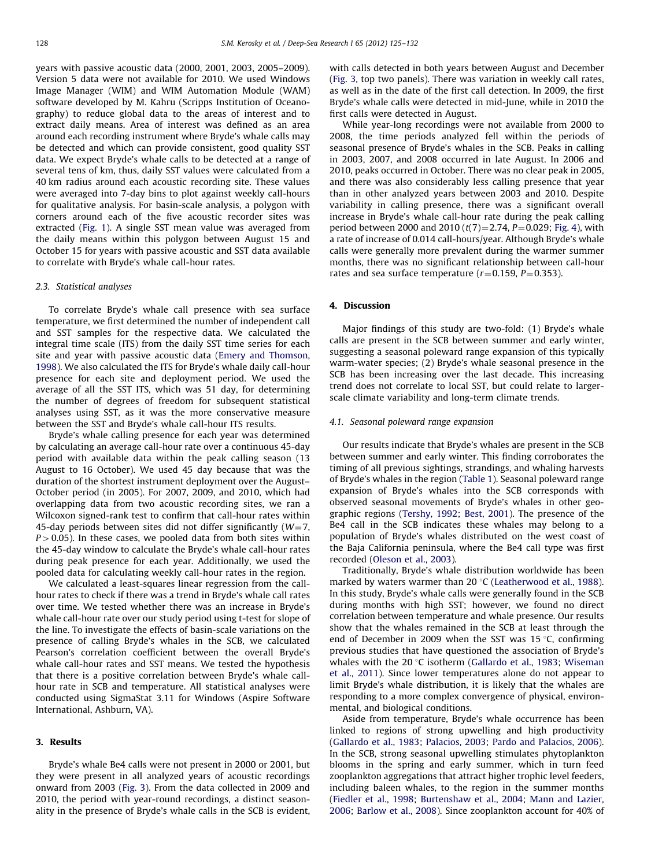years with passive acoustic data (2000, 2001, 2003, 2005–2009). Version 5 data were not available for 2010. We used Windows Image Manager (WIM) and WIM Automation Module (WAM) software developed by M. Kahru (Scripps Institution of Oceanography) to reduce global data to the areas of interest and to extract daily means. Area of interest was defined as an area around each recording instrument where Bryde's whale calls may be detected and which can provide consistent, good quality SST data. We expect Bryde's whale calls to be detected at a range of several tens of km, thus, daily SST values were calculated from a 40 km radius around each acoustic recording site. These values were averaged into 7-day bins to plot against weekly call-hours for qualitative analysis. For basin-scale analysis, a polygon with corners around each of the five acoustic recorder sites was extracted ([Fig. 1](#page-1-0)). A single SST mean value was averaged from the daily means within this polygon between August 15 and October 15 for years with passive acoustic and SST data available to correlate with Bryde's whale call-hour rates.

# 2.3. Statistical analyses

To correlate Bryde's whale call presence with sea surface temperature, we first determined the number of independent call and SST samples for the respective data. We calculated the integral time scale (ITS) from the daily SST time series for each site and year with passive acoustic data [\(Emery and Thomson,](#page-6-0) [1998](#page-6-0)). We also calculated the ITS for Bryde's whale daily call-hour presence for each site and deployment period. We used the average of all the SST ITS, which was 51 day, for determining the number of degrees of freedom for subsequent statistical analyses using SST, as it was the more conservative measure between the SST and Bryde's whale call-hour ITS results.

Bryde's whale calling presence for each year was determined by calculating an average call-hour rate over a continuous 45-day period with available data within the peak calling season (13 August to 16 October). We used 45 day because that was the duration of the shortest instrument deployment over the August– October period (in 2005). For 2007, 2009, and 2010, which had overlapping data from two acoustic recording sites, we ran a Wilcoxon signed-rank test to confirm that call-hour rates within 45-day periods between sites did not differ significantly ( $W=7$ ,  $P > 0.05$ ). In these cases, we pooled data from both sites within the 45-day window to calculate the Bryde's whale call-hour rates during peak presence for each year. Additionally, we used the pooled data for calculating weekly call-hour rates in the region.

We calculated a least-squares linear regression from the callhour rates to check if there was a trend in Bryde's whale call rates over time. We tested whether there was an increase in Bryde's whale call-hour rate over our study period using t-test for slope of the line. To investigate the effects of basin-scale variations on the presence of calling Bryde's whales in the SCB, we calculated Pearson's correlation coefficient between the overall Bryde's whale call-hour rates and SST means. We tested the hypothesis that there is a positive correlation between Bryde's whale callhour rate in SCB and temperature. All statistical analyses were conducted using SigmaStat 3.11 for Windows (Aspire Software International, Ashburn, VA).

# 3. Results

Bryde's whale Be4 calls were not present in 2000 or 2001, but they were present in all analyzed years of acoustic recordings onward from 2003 ([Fig. 3](#page-4-0)). From the data collected in 2009 and 2010, the period with year-round recordings, a distinct seasonality in the presence of Bryde's whale calls in the SCB is evident,

with calls detected in both years between August and December ([Fig. 3,](#page-4-0) top two panels). There was variation in weekly call rates, as well as in the date of the first call detection. In 2009, the first Bryde's whale calls were detected in mid-June, while in 2010 the first calls were detected in August.

While year-long recordings were not available from 2000 to 2008, the time periods analyzed fell within the periods of seasonal presence of Bryde's whales in the SCB. Peaks in calling in 2003, 2007, and 2008 occurred in late August. In 2006 and 2010, peaks occurred in October. There was no clear peak in 2005, and there was also considerably less calling presence that year than in other analyzed years between 2003 and 2010. Despite variability in calling presence, there was a significant overall increase in Bryde's whale call-hour rate during the peak calling period between 2000 and 2010  $(t(7)=2.74, P=0.029;$  [Fig. 4\)](#page-5-0), with a rate of increase of 0.014 call-hours/year. Although Bryde's whale calls were generally more prevalent during the warmer summer months, there was no significant relationship between call-hour rates and sea surface temperature ( $r=0.159$ ,  $P=0.353$ ).

# 4. Discussion

Major findings of this study are two-fold: (1) Bryde's whale calls are present in the SCB between summer and early winter, suggesting a seasonal poleward range expansion of this typically warm-water species; (2) Bryde's whale seasonal presence in the SCB has been increasing over the last decade. This increasing trend does not correlate to local SST, but could relate to largerscale climate variability and long-term climate trends.

#### 4.1. Seasonal poleward range expansion

Our results indicate that Bryde's whales are present in the SCB between summer and early winter. This finding corroborates the timing of all previous sightings, strandings, and whaling harvests of Bryde's whales in the region [\(Table 1\)](#page-1-0). Seasonal poleward range expansion of Bryde's whales into the SCB corresponds with observed seasonal movements of Bryde's whales in other geographic regions [\(Tershy, 1992;](#page-7-0) [Best, 2001\)](#page-6-0). The presence of the Be4 call in the SCB indicates these whales may belong to a population of Bryde's whales distributed on the west coast of the Baja California peninsula, where the Be4 call type was first recorded [\(Oleson et al., 2003](#page-6-0)).

Traditionally, Bryde's whale distribution worldwide has been marked by waters warmer than  $20^{\circ}$ C ([Leatherwood et al., 1988\)](#page-6-0). In this study, Bryde's whale calls were generally found in the SCB during months with high SST; however, we found no direct correlation between temperature and whale presence. Our results show that the whales remained in the SCB at least through the end of December in 2009 when the SST was 15 $\degree$ C, confirming previous studies that have questioned the association of Bryde's whales with the 20 $\degree$ C isotherm [\(Gallardo et al., 1983;](#page-6-0) [Wiseman](#page-7-0) [et al., 2011\)](#page-7-0). Since lower temperatures alone do not appear to limit Bryde's whale distribution, it is likely that the whales are responding to a more complex convergence of physical, environmental, and biological conditions.

Aside from temperature, Bryde's whale occurrence has been linked to regions of strong upwelling and high productivity ([Gallardo et al., 1983;](#page-6-0) [Palacios, 2003;](#page-6-0) [Pardo and Palacios, 2006\)](#page-6-0). In the SCB, strong seasonal upwelling stimulates phytoplankton blooms in the spring and early summer, which in turn feed zooplankton aggregations that attract higher trophic level feeders, including baleen whales, to the region in the summer months ([Fiedler et al., 1998;](#page-6-0) [Burtenshaw et al., 2004;](#page-6-0) [Mann and Lazier,](#page-6-0) [2006;](#page-6-0) [Barlow et al., 2008\)](#page-6-0). Since zooplankton account for 40% of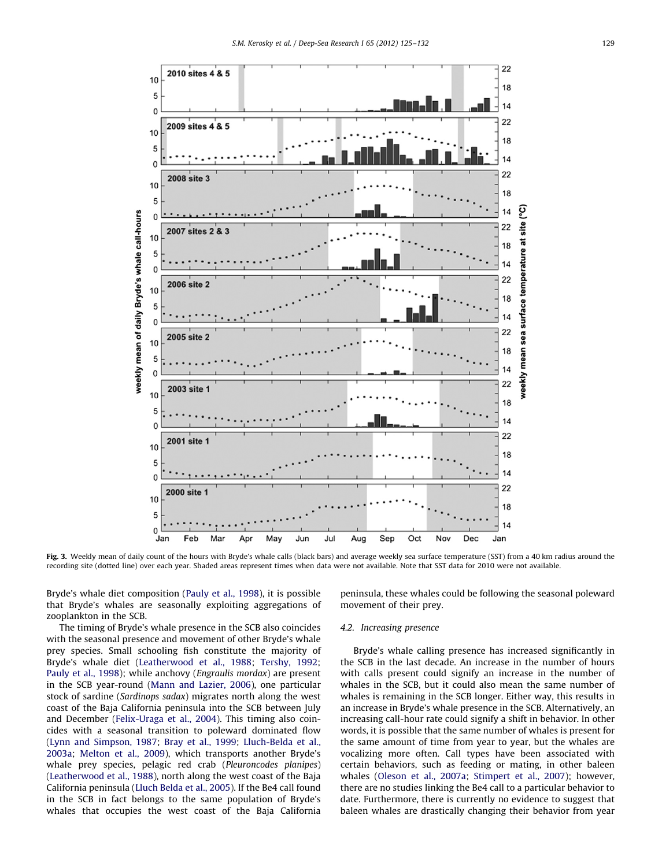<span id="page-4-0"></span>

Fig. 3. Weekly mean of daily count of the hours with Bryde's whale calls (black bars) and average weekly sea surface temperature (SST) from a 40 km radius around the recording site (dotted line) over each year. Shaded areas represent times when data were not available. Note that SST data for 2010 were not available.

Bryde's whale diet composition [\(Pauly et al., 1998](#page-6-0)), it is possible that Bryde's whales are seasonally exploiting aggregations of zooplankton in the SCB.

The timing of Bryde's whale presence in the SCB also coincides with the seasonal presence and movement of other Bryde's whale prey species. Small schooling fish constitute the majority of Bryde's whale diet [\(Leatherwood et al., 1988](#page-6-0); [Tershy, 1992;](#page-7-0) [Pauly et al., 1998](#page-6-0)); while anchovy (Engraulis mordax) are present in the SCB year-round [\(Mann and Lazier, 2006\)](#page-6-0), one particular stock of sardine (Sardinops sadax) migrates north along the west coast of the Baja California peninsula into the SCB between July and December ([Felix-Uraga et al., 2004](#page-6-0)). This timing also coincides with a seasonal transition to poleward dominated flow ([Lynn and Simpson, 1987;](#page-6-0) [Bray et al., 1999](#page-6-0); [Lluch-Belda et al.,](#page-6-0) [2003a;](#page-6-0) [Melton et al., 2009\)](#page-6-0), which transports another Bryde's whale prey species, pelagic red crab (Pleuroncodes planipes) ([Leatherwood et al., 1988](#page-6-0)), north along the west coast of the Baja California peninsula ([Lluch Belda et al., 2005\)](#page-6-0). If the Be4 call found in the SCB in fact belongs to the same population of Bryde's whales that occupies the west coast of the Baja California peninsula, these whales could be following the seasonal poleward movement of their prey.

# 4.2. Increasing presence

Bryde's whale calling presence has increased significantly in the SCB in the last decade. An increase in the number of hours with calls present could signify an increase in the number of whales in the SCB, but it could also mean the same number of whales is remaining in the SCB longer. Either way, this results in an increase in Bryde's whale presence in the SCB. Alternatively, an increasing call-hour rate could signify a shift in behavior. In other words, it is possible that the same number of whales is present for the same amount of time from year to year, but the whales are vocalizing more often. Call types have been associated with certain behaviors, such as feeding or mating, in other baleen whales ([Oleson et al., 2007a;](#page-6-0) [Stimpert et al., 2007](#page-7-0)); however, there are no studies linking the Be4 call to a particular behavior to date. Furthermore, there is currently no evidence to suggest that baleen whales are drastically changing their behavior from year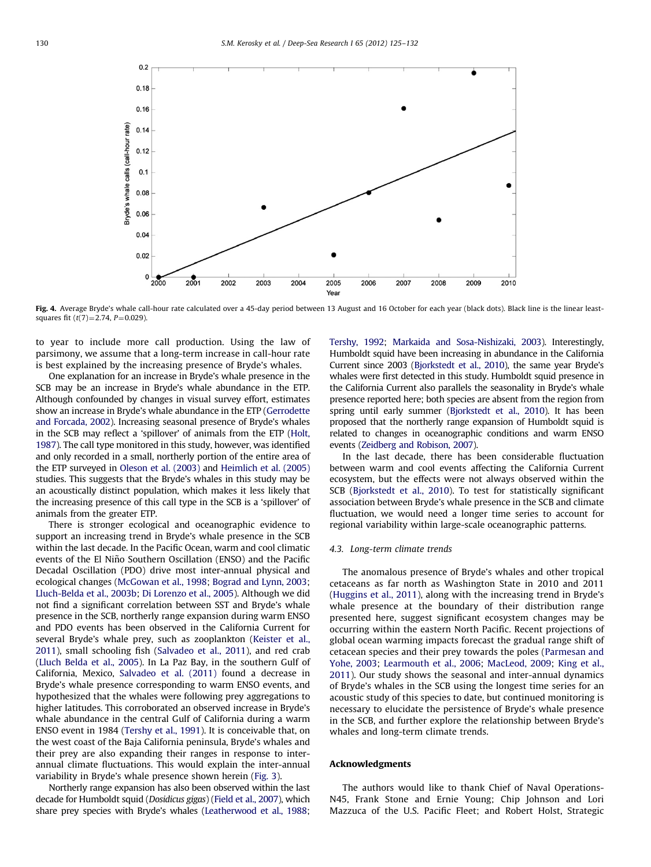<span id="page-5-0"></span>

Fig. 4. Average Bryde's whale call-hour rate calculated over a 45-day period between 13 August and 16 October for each year (black dots). Black line is the linear leastsquares fit  $(t(7)=2.74, P=0.029)$ .

to year to include more call production. Using the law of parsimony, we assume that a long-term increase in call-hour rate is best explained by the increasing presence of Bryde's whales.

One explanation for an increase in Bryde's whale presence in the SCB may be an increase in Bryde's whale abundance in the ETP. Although confounded by changes in visual survey effort, estimates show an increase in Bryde's whale abundance in the ETP [\(Gerrodette](#page-6-0) [and Forcada, 2002\)](#page-6-0). Increasing seasonal presence of Bryde's whales in the SCB may reflect a 'spillover' of animals from the ETP [\(Holt,](#page-6-0) [1987](#page-6-0)). The call type monitored in this study, however, was identified and only recorded in a small, northerly portion of the entire area of the ETP surveyed in [Oleson et al. \(2003\)](#page-6-0) and [Heimlich et al. \(2005\)](#page-6-0) studies. This suggests that the Bryde's whales in this study may be an acoustically distinct population, which makes it less likely that the increasing presence of this call type in the SCB is a 'spillover' of animals from the greater ETP.

There is stronger ecological and oceanographic evidence to support an increasing trend in Bryde's whale presence in the SCB within the last decade. In the Pacific Ocean, warm and cool climatic events of the El Niño Southern Oscillation (ENSO) and the Pacific Decadal Oscillation (PDO) drive most inter-annual physical and ecological changes ([McGowan et al., 1998](#page-6-0); [Bograd and Lynn, 2003;](#page-6-0) [Lluch-Belda et al., 2003b](#page-6-0); [Di Lorenzo et al., 2005](#page-6-0)). Although we did not find a significant correlation between SST and Bryde's whale presence in the SCB, northerly range expansion during warm ENSO and PDO events has been observed in the California Current for several Bryde's whale prey, such as zooplankton ([Keister et al.,](#page-6-0) [2011\)](#page-6-0), small schooling fish [\(Salvadeo et al., 2011](#page-7-0)), and red crab ([Lluch Belda et al., 2005](#page-6-0)). In La Paz Bay, in the southern Gulf of California, Mexico, [Salvadeo et al. \(2011\)](#page-7-0) found a decrease in Bryde's whale presence corresponding to warm ENSO events, and hypothesized that the whales were following prey aggregations to higher latitudes. This corroborated an observed increase in Bryde's whale abundance in the central Gulf of California during a warm ENSO event in 1984 [\(Tershy et al., 1991\)](#page-7-0). It is conceivable that, on the west coast of the Baja California peninsula, Bryde's whales and their prey are also expanding their ranges in response to interannual climate fluctuations. This would explain the inter-annual variability in Bryde's whale presence shown herein ([Fig. 3](#page-4-0)).

Northerly range expansion has also been observed within the last decade for Humboldt squid (Dosidicus gigas) [\(Field et al., 2007\)](#page-6-0), which share prey species with Bryde's whales [\(Leatherwood et al., 1988;](#page-6-0)

[Tershy, 1992](#page-7-0); [Markaida and Sosa-Nishizaki, 2003](#page-6-0)). Interestingly, Humboldt squid have been increasing in abundance in the California Current since 2003 [\(Bjorkstedt et al., 2010](#page-6-0)), the same year Bryde's whales were first detected in this study. Humboldt squid presence in the California Current also parallels the seasonality in Bryde's whale presence reported here; both species are absent from the region from spring until early summer [\(Bjorkstedt et al., 2010](#page-6-0)). It has been proposed that the northerly range expansion of Humboldt squid is related to changes in oceanographic conditions and warm ENSO events [\(Zeidberg and Robison, 2007\)](#page-7-0).

In the last decade, there has been considerable fluctuation between warm and cool events affecting the California Current ecosystem, but the effects were not always observed within the SCB [\(Bjorkstedt et al., 2010\)](#page-6-0). To test for statistically significant association between Bryde's whale presence in the SCB and climate fluctuation, we would need a longer time series to account for regional variability within large-scale oceanographic patterns.

### 4.3. Long-term climate trends

The anomalous presence of Bryde's whales and other tropical cetaceans as far north as Washington State in 2010 and 2011 ([Huggins et al., 2011\)](#page-6-0), along with the increasing trend in Bryde's whale presence at the boundary of their distribution range presented here, suggest significant ecosystem changes may be occurring within the eastern North Pacific. Recent projections of global ocean warming impacts forecast the gradual range shift of cetacean species and their prey towards the poles ([Parmesan and](#page-6-0) [Yohe, 2003](#page-6-0); [Learmouth et al., 2006;](#page-6-0) [MacLeod, 2009;](#page-6-0) [King et al.,](#page-6-0) [2011\)](#page-6-0). Our study shows the seasonal and inter-annual dynamics of Bryde's whales in the SCB using the longest time series for an acoustic study of this species to date, but continued monitoring is necessary to elucidate the persistence of Bryde's whale presence in the SCB, and further explore the relationship between Bryde's whales and long-term climate trends.

### Acknowledgments

The authors would like to thank Chief of Naval Operations-N45, Frank Stone and Ernie Young; Chip Johnson and Lori Mazzuca of the U.S. Pacific Fleet; and Robert Holst, Strategic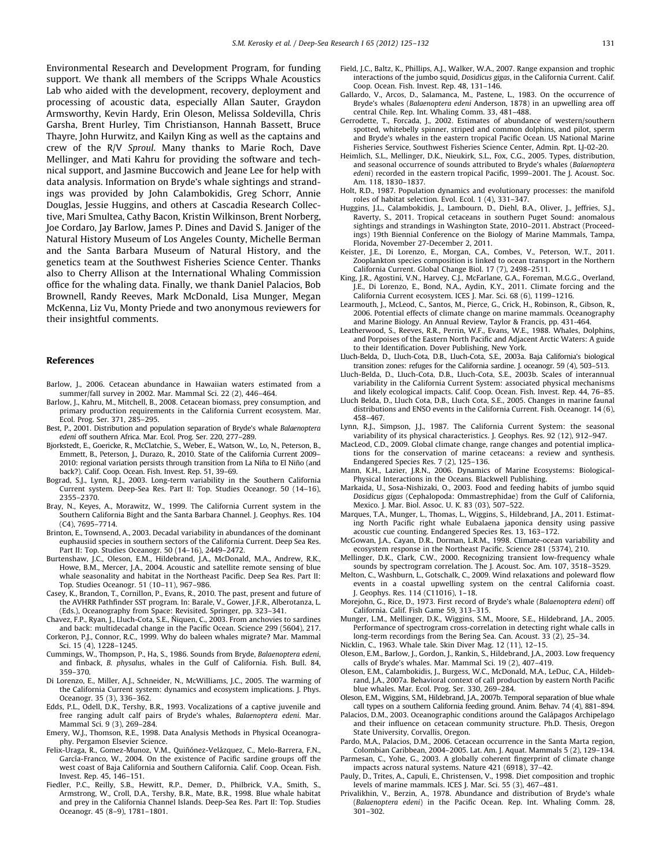<span id="page-6-0"></span>Environmental Research and Development Program, for funding support. We thank all members of the Scripps Whale Acoustics Lab who aided with the development, recovery, deployment and processing of acoustic data, especially Allan Sauter, Graydon Armsworthy, Kevin Hardy, Erin Oleson, Melissa Soldevilla, Chris Garsha, Brent Hurley, Tim Christianson, Hannah Bassett, Bruce Thayre, John Hurwitz, and Kailyn King as well as the captains and crew of the R/V Sproul. Many thanks to Marie Roch, Dave Mellinger, and Mati Kahru for providing the software and technical support, and Jasmine Buccowich and Jeane Lee for help with data analysis. Information on Bryde's whale sightings and strandings was provided by John Calambokidis, Greg Schorr, Annie Douglas, Jessie Huggins, and others at Cascadia Research Collective, Mari Smultea, Cathy Bacon, Kristin Wilkinson, Brent Norberg, Joe Cordaro, Jay Barlow, James P. Dines and David S. Janiger of the Natural History Museum of Los Angeles County, Michelle Berman and the Santa Barbara Museum of Natural History, and the genetics team at the Southwest Fisheries Science Center. Thanks also to Cherry Allison at the International Whaling Commission office for the whaling data. Finally, we thank Daniel Palacios, Bob Brownell, Randy Reeves, Mark McDonald, Lisa Munger, Megan McKenna, Liz Vu, Monty Priede and two anonymous reviewers for their insightful comments.

#### References

- Barlow, J., 2006. Cetacean abundance in Hawaiian waters estimated from a summer/fall survey in 2002. Mar. Mammal Sci. 22 (2), 446–464.
- Barlow, J., Kahru, M., Mitchell, B., 2008. Cetacean biomass, prey consumption, and primary production requirements in the California Current ecosystem. Mar. Ecol. Prog. Ser. 371, 285–295.
- Best, P., 2001. Distribution and population separation of Bryde's whale Balaenoptera edeni off southern Africa. Mar. Ecol. Prog. Ser. 220, 277–289.
- Bjorkstedt, E., Goericke, R., McClatchie, S., Weber, E., Watson, W., Lo, N., Peterson, B., Emmett, B., Peterson, J., Durazo, R., 2010. State of the California Current 2009– 2010: regional variation persists through transition from La Niña to El Niño (and back?). Calif. Coop. Ocean. Fish. Invest. Rep. 51, 39–69.
- Bograd, S.J., Lynn, R.J., 2003. Long-term variability in the Southern California Current system. Deep-Sea Res. Part II: Top. Studies Oceanogr. 50 (14–16), 2355–2370.
- Bray, N., Keyes, A., Morawitz, W., 1999. The California Current system in the Southern California Bight and the Santa Barbara Channel. J. Geophys. Res. 104 (C4), 7695–7714.
- Brinton, E., Townsend, A., 2003. Decadal variability in abundances of the dominant euphausiid species in southern sectors of the California Current. Deep Sea Res. Part II: Top. Studies Oceanogr. 50 (14–16), 2449–2472.
- Burtenshaw, J.C., Oleson, E.M., Hildebrand, J.A., McDonald, M.A., Andrew, R.K., Howe, B.M., Mercer, J.A., 2004. Acoustic and satellite remote sensing of blue whale seasonality and habitat in the Northeast Pacific. Deep Sea Res. Part II: Top. Studies Oceanogr. 51 (10–11), 967–986.
- Casey, K., Brandon, T., Cornillon, P., Evans, R., 2010. The past, present and future of the AVHRR Pathfinder SST program. In: Barale, V., Gower, J.F.R., Alberotanza, L. (Eds.), Oceanography from Space: Revisited. Springer, pp. 323–341.
- Chavez, F.P., Ryan, J., Lluch-Cota, S.E., N˜iquen, C., 2003. From anchovies to sardines and back: multidecadal change in the Pacific Ocean. Science 299 (5604), 217.
- Corkeron, P.J., Connor, R.C., 1999. Why do baleen whales migrate? Mar. Mammal Sci. 15 (4), 1228–1245.
- Cummings, W., Thompson, P., Ha, S., 1986. Sounds from Bryde, Balaenoptera edeni, and finback, B. physalus, whales in the Gulf of California. Fish. Bull. 84, 359–370.
- Di Lorenzo, E., Miller, A.J., Schneider, N., McWilliams, J.C., 2005. The warming of the California Current system: dynamics and ecosystem implications. J. Phys. Oceanogr. 35 (3), 336–362.
- Edds, P.L., Odell, D.K., Tershy, B.R., 1993. Vocalizations of a captive juvenile and free ranging adult calf pairs of Bryde's whales, Balaenoptera edeni. Mar. Mammal Sci. 9 (3), 269–284.
- Emery, W.J., Thomson, R.E., 1998. Data Analysis Methods in Physical Oceanography. Pergamon Elsevier Science.
- Felix-Uraga, R., Gomez-Munoz, V.M., Quiñónez-Velázquez, C., Melo-Barrera, F.N., García-Franco, W., 2004. On the existence of Pacific sardine groups off the west coast of Baja California and Southern California. Calif. Coop. Ocean. Fish. Invest. Rep. 45, 146–151.
- Fiedler, P.C., Reilly, S.B., Hewitt, R.P., Demer, D., Philbrick, V.A., Smith, S., Armstrong, W., Croll, D.A., Tershy, B.R., Mate, B.R., 1998. Blue whale habitat and prey in the California Channel Islands. Deep-Sea Res. Part II: Top. Studies Oceanogr. 45 (8–9), 1781–1801.
- Field, J.C., Baltz, K., Phillips, A.J., Walker, W.A., 2007. Range expansion and trophic interactions of the jumbo squid, Dosidicus gigas, in the California Current. Calif. Coop. Ocean. Fish. Invest. Rep. 48, 131–146.
- Gallardo, V., Arcos, D., Salamanca, M., Pastene, L., 1983. On the occurrence of Bryde's whales (Balaenoptera edeni Anderson, 1878) in an upwelling area off central Chile. Rep. Int. Whaling Comm. 33, 481–488.
- Gerrodette, T., Forcada, J., 2002. Estimates of abundance of western/southern spotted, whitebelly spinner, striped and common dolphins, and pilot, sperm and Bryde's whales in the eastern tropical Pacific Ocean. US National Marine Fisheries Service, Southwest Fisheries Science Center, Admin. Rpt. LJ-02-20.
- Heimlich, S.L., Mellinger, D.K., Nieukirk, S.L., Fox, C.G., 2005. Types, distribution, and seasonal occurrence of sounds attributed to Bryde's whales (Balaenoptera edeni) recorded in the eastern tropical Pacific, 1999–2001. The J. Acoust. Soc. Am. 118, 1830–1837.
- Holt, R.D., 1987. Population dynamics and evolutionary processes: the manifold roles of habitat selection. Evol. Ecol. 1 (4), 331–347.
- Huggins, J.L., Calambokidis, J., Lambourn, D., Diehl, B.A., Oliver, J., Jeffries, S.J., Raverty, S., 2011. Tropical cetaceans in southern Puget Sound: anomalous sightings and strandings in Washington State, 2010–2011. Abstract (Proceedings) 19th Biennial Conference on the Biology of Marine Mammals, Tampa, Florida, November 27-December 2, 2011.
- Keister, J.E., Di Lorenzo, E., Morgan, C.A., Combes, V., Peterson, W.T., 2011. Zooplankton species composition is linked to ocean transport in the Northern California Current. Global Change Biol. 17 (7), 2498–2511.
- King, J.R., Agostini, V.N., Harvey, C.J., McFarlane, G.A., Foreman, M.G.G., Overland, J.E., Di Lorenzo, E., Bond, N.A., Aydin, K.Y., 2011. Climate forcing and the California Current ecosystem. ICES J. Mar. Sci. 68 (6), 1199–1216.
- Learmouth, J., McLeod, C., Santos, M., Pierce, G., Crick, H., Robinson, R., Gibson, R., 2006. Potential effects of climate change on marine mammals. Oceanography and Marine Biology. An Annual Review, Taylor & Francis, pp. 431-464.
- Leatherwood, S., Reeves, R.R., Perrin, W.F., Evans, W.E., 1988. Whales, Dolphins, and Porpoises of the Eastern North Pacific and Adjacent Arctic Waters: A guide to their Identification. Dover Publishing, New York.
- Lluch-Belda, D., Lluch-Cota, D.B., Lluch-Cota, S.E., 2003a. Baja California's biological transition zones: refuges for the California sardine. J. oceanogr. 59 (4), 503–513.
- Lluch-Belda, D., Lluch-Cota, D.B., Lluch-Cota, S.E., 2003b. Scales of interannual variability in the California Current System: associated physical mechanisms and likely ecological impacts. Calif. Coop. Ocean. Fish. Invest. Rep. 44, 76–85.
- Lluch Belda, D., Lluch Cota, D.B., Lluch Cota, S.E., 2005. Changes in marine faunal distributions and ENSO events in the California Current. Fish. Oceanogr. 14 (6), 458–467.
- Lynn, R.J., Simpson, J.J., 1987. The California Current System: the seasonal variability of its physical characteristics. J. Geophys. Res. 92 (12), 912–947.
- MacLeod, C.D., 2009. Global climate change, range changes and potential implications for the conservation of marine cetaceans: a review and synthesis. Endangered Species Res. 7 (2), 125–136.
- Mann, K.H., Lazier, J.R.N., 2006. Dynamics of Marine Ecosystems: Biological-Physical Interactions in the Oceans. Blackwell Publishing.
- Markaida, U., Sosa-Nishizaki, O., 2003. Food and feeding habits of jumbo squid Dosidicus gigas (Cephalopoda: Ommastrephidae) from the Gulf of California, Mexico. J. Mar. Biol. Assoc. U. K. 83 (03), 507–522.
- Marques, T.A., Munger, L., Thomas, L., Wiggins, S., Hildebrand, J.A., 2011. Estimating North Pacific right whale Eubalaena japonica density using passive acoustic cue counting. Endangered Species Res. 13, 163–172.
- McGowan, J.A., Cayan, D.R., Dorman, L.R.M., 1998. Climate-ocean variability and ecosystem response in the Northeast Pacific. Science 281 (5374), 210.
- Mellinger, D.K., Clark, C.W., 2000. Recognizing transient low-frequency whale sounds by spectrogram correlation. The J. Acoust. Soc. Am. 107, 3518–3529.
- Melton, C., Washburn, L., Gotschalk, C., 2009. Wind relaxations and poleward flow events in a coastal upwelling system on the central California coast. J. Geophys. Res. 114 (C11016), 1–18.
- Morejohn, G., Rice, D., 1973. First record of Bryde's whale (Balaenoptera edeni) off California. Calif. Fish Game 59, 313–315.
- Munger, L.M., Mellinger, D.K., Wiggins, S.M., Moore, S.E., Hildebrand, J.A., 2005. Performance of spectrogram cross-correlation in detecting right whale calls in long-term recordings from the Bering Sea. Can. Acoust. 33 (2), 25–34.
- Nicklin, C., 1963. Whale tale. Skin Diver Mag. 12 (11), 12–15.
- Oleson, E.M., Barlow, J., Gordon, J., Rankin, S., Hildebrand, J.A., 2003. Low frequency calls of Bryde's whales. Mar. Mammal Sci. 19 (2), 407–419.
- Oleson, E.M., Calambokidis, J., Burgess, W.C., McDonald, M.A., LeDuc, C.A., Hildebrand, J.A., 2007a. Behavioral context of call production by eastern North Pacific blue whales. Mar. Ecol. Prog. Ser. 330, 269–284.
- Oleson, E.M., Wiggins, S.M., Hildebrand, J.A., 2007b. Temporal separation of blue whale call types on a southern California feeding ground. Anim. Behav. 74 (4), 881–894.
- Palacios, D.M., 2003. Oceanographic conditions around the Galápagos Archipelago and their influence on cetacean community structure. Ph.D. Thesis, Oregon State University, Corvallis, Oregon.
- Pardo, M.A., Palacios, D.M., 2006. Cetacean occurrence in the Santa Marta region, Colombian Caribbean, 2004–2005. Lat. Am. J. Aquat. Mammals 5 (2), 129–134.
- Parmesan, C., Yohe, G., 2003. A globally coherent fingerprint of climate change impacts across natural systems. Nature 421 (6918), 37–42.
- Pauly, D., Trites, A., Capuli, E., Christensen, V., 1998. Diet composition and trophic levels of marine mammals. ICES J. Mar. Sci. 55 (3), 467–481.
- Privalikhin, V., Berzin, A., 1978. Abundance and distribution of Bryde's whale (Balaenoptera edeni) in the Pacific Ocean. Rep. Int. Whaling Comm. 28, 301–302.